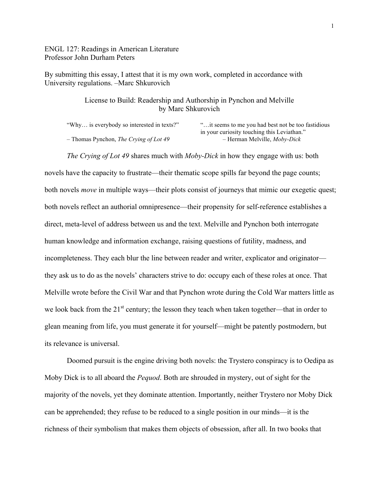ENGL 127: Readings in American Literature Professor John Durham Peters

By submitting this essay, I attest that it is my own work, completed in accordance with University regulations. –Marc Shkurovich

> License to Build: Readership and Authorship in Pynchon and Melville by Marc Shkurovich

| "Why is everybody so interested in texts?"    | " it seems to me you had best not be too fastidious" |
|-----------------------------------------------|------------------------------------------------------|
|                                               | in your curiosity touching this Leviathan."          |
| - Thomas Pynchon, <i>The Crying of Lot 49</i> | - Herman Melville, <i>Moby-Dick</i>                  |

*The Crying of Lot 49* shares much with *Moby-Dick* in how they engage with us: both

novels have the capacity to frustrate—their thematic scope spills far beyond the page counts; both novels *move* in multiple ways—their plots consist of journeys that mimic our exegetic quest; both novels reflect an authorial omnipresence—their propensity for self-reference establishes a direct, meta-level of address between us and the text. Melville and Pynchon both interrogate human knowledge and information exchange, raising questions of futility, madness, and incompleteness. They each blur the line between reader and writer, explicator and originator they ask us to do as the novels' characters strive to do: occupy each of these roles at once. That Melville wrote before the Civil War and that Pynchon wrote during the Cold War matters little as we look back from the  $21^{st}$  century; the lesson they teach when taken together—that in order to glean meaning from life, you must generate it for yourself—might be patently postmodern, but its relevance is universal.

Doomed pursuit is the engine driving both novels: the Trystero conspiracy is to Oedipa as Moby Dick is to all aboard the *Pequod*. Both are shrouded in mystery, out of sight for the majority of the novels, yet they dominate attention. Importantly, neither Trystero nor Moby Dick can be apprehended; they refuse to be reduced to a single position in our minds—it is the richness of their symbolism that makes them objects of obsession, after all. In two books that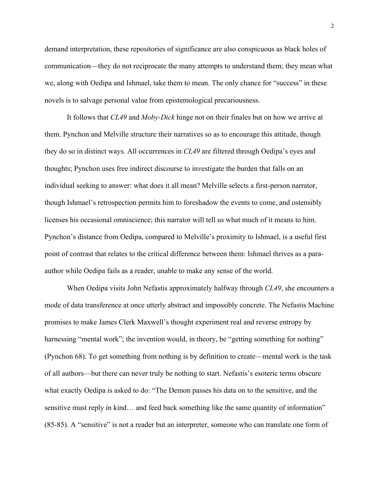demand interpretation, these repositories of significance are also conspicuous as black holes of communication—they do not reciprocate the many attempts to understand them; they mean what we, along with Oedipa and Ishmael, take them to mean. The only chance for "success" in these novels is to salvage personal value from epistemological precariousness.

It follows that *CL49* and *Moby-Dick* hinge not on their finales but on how we arrive at them. Pynchon and Melville structure their narratives so as to encourage this attitude, though they do so in distinct ways. All occurrences in *CL49* are filtered through Oedipa's eyes and thoughts; Pynchon uses free indirect discourse to investigate the burden that falls on an individual seeking to answer: what does it all mean? Melville selects a first-person narrator, though Ishmael's retrospection permits him to foreshadow the events to come, and ostensibly licenses his occasional omniscience; this narrator will tell us what much of it means to him. Pynchon's distance from Oedipa, compared to Melville's proximity to Ishmael, is a useful first point of contrast that relates to the critical difference between them: Ishmael thrives as a paraauthor while Oedipa fails as a reader, unable to make any sense of the world.

When Oedipa visits John Nefastis approximately halfway through *CL49*, she encounters a mode of data transference at once utterly abstract and impossibly concrete. The Nefastis Machine promises to make James Clerk Maxwell's thought experiment real and reverse entropy by harnessing "mental work"; the invention would, in theory, be "getting something for nothing" (Pynchon 68). To get something from nothing is by definition to create—mental work is the task of all authors—but there can never truly be nothing to start. Nefastis's esoteric terms obscure what exactly Oedipa is asked to do: "The Demon passes his data on to the sensitive, and the sensitive must reply in kind… and feed back something like the same quantity of information" (85-85). A "sensitive" is not a reader but an interpreter, someone who can translate one form of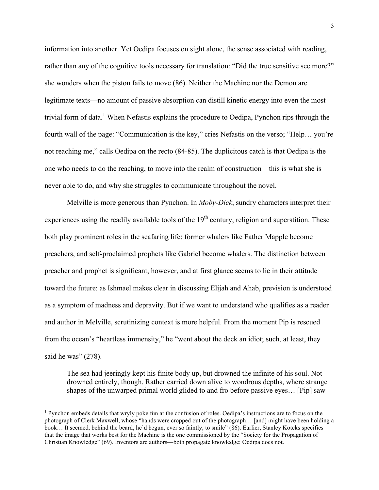information into another. Yet Oedipa focuses on sight alone, the sense associated with reading, rather than any of the cognitive tools necessary for translation: "Did the true sensitive see more?" she wonders when the piston fails to move (86). Neither the Machine nor the Demon are legitimate texts—no amount of passive absorption can distill kinetic energy into even the most trivial form of data.<sup>1</sup> When Nefastis explains the procedure to Oedipa, Pynchon rips through the fourth wall of the page: "Communication is the key," cries Nefastis on the verso; "Help… you're not reaching me," calls Oedipa on the recto (84-85). The duplicitous catch is that Oedipa is the one who needs to do the reaching, to move into the realm of construction—this is what she is never able to do, and why she struggles to communicate throughout the novel.

Melville is more generous than Pynchon. In *Moby-Dick*, sundry characters interpret their experiences using the readily available tools of the  $19<sup>th</sup>$  century, religion and superstition. These both play prominent roles in the seafaring life: former whalers like Father Mapple become preachers, and self-proclaimed prophets like Gabriel become whalers. The distinction between preacher and prophet is significant, however, and at first glance seems to lie in their attitude toward the future: as Ishmael makes clear in discussing Elijah and Ahab, prevision is understood as a symptom of madness and depravity. But if we want to understand who qualifies as a reader and author in Melville, scrutinizing context is more helpful. From the moment Pip is rescued from the ocean's "heartless immensity," he "went about the deck an idiot; such, at least, they said he was" (278).

The sea had jeeringly kept his finite body up, but drowned the infinite of his soul. Not drowned entirely, though. Rather carried down alive to wondrous depths, where strange shapes of the unwarped primal world glided to and fro before passive eyes… [Pip] saw

<sup>&</sup>lt;sup>1</sup> Pynchon embeds details that wryly poke fun at the confusion of roles. Oedipa's instructions are to focus on the photograph of Clerk Maxwell, whose "hands were cropped out of the photograph… [and] might have been holding a book… It seemed, behind the beard, he'd begun, ever so faintly, to smile" (86). Earlier, Stanley Koteks specifies that the image that works best for the Machine is the one commissioned by the "Society for the Propagation of Christian Knowledge" (69). Inventors are authors—both propagate knowledge; Oedipa does not.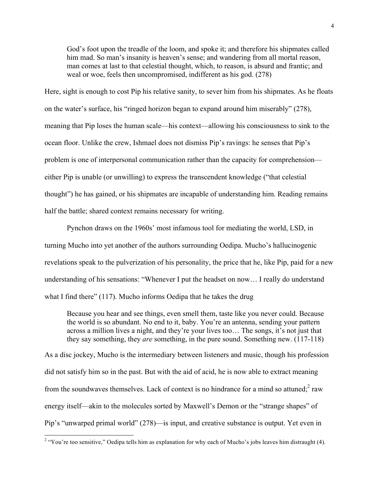God's foot upon the treadle of the loom, and spoke it; and therefore his shipmates called him mad. So man's insanity is heaven's sense; and wandering from all mortal reason, man comes at last to that celestial thought, which, to reason, is absurd and frantic; and weal or woe, feels then uncompromised, indifferent as his god. (278)

Here, sight is enough to cost Pip his relative sanity, to sever him from his shipmates. As he floats on the water's surface, his "ringed horizon began to expand around him miserably" (278), meaning that Pip loses the human scale—his context—allowing his consciousness to sink to the ocean floor. Unlike the crew, Ishmael does not dismiss Pip's ravings: he senses that Pip's problem is one of interpersonal communication rather than the capacity for comprehension either Pip is unable (or unwilling) to express the transcendent knowledge ("that celestial thought") he has gained, or his shipmates are incapable of understanding him. Reading remains half the battle; shared context remains necessary for writing.

Pynchon draws on the 1960s' most infamous tool for mediating the world, LSD, in turning Mucho into yet another of the authors surrounding Oedipa. Mucho's hallucinogenic revelations speak to the pulverization of his personality, the price that he, like Pip, paid for a new understanding of his sensations: "Whenever I put the headset on now… I really do understand what I find there" (117). Mucho informs Oedipa that he takes the drug

Because you hear and see things, even smell them, taste like you never could. Because the world is so abundant. No end to it, baby. You're an antenna, sending your pattern across a million lives a night, and they're your lives too… The songs, it's not just that they say something, they *are* something, in the pure sound. Something new. (117-118)

As a disc jockey, Mucho is the intermediary between listeners and music, though his profession did not satisfy him so in the past. But with the aid of acid, he is now able to extract meaning from the soundwaves themselves. Lack of context is no hindrance for a mind so attuned; $2$  raw energy itself—akin to the molecules sorted by Maxwell's Demon or the "strange shapes" of Pip's "unwarped primal world" (278)—is input, and creative substance is output. Yet even in

<sup>&</sup>lt;sup>2</sup> "You're too sensitive," Oedipa tells him as explanation for why each of Mucho's jobs leaves him distraught (4).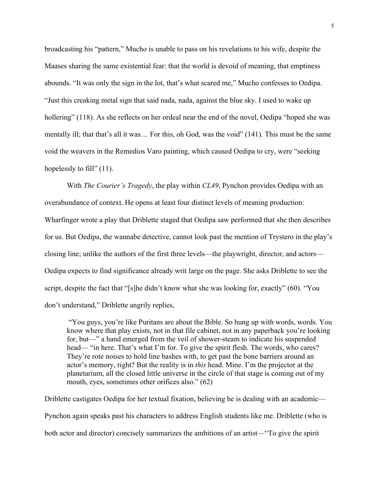broadcasting his "pattern," Mucho is unable to pass on his revelations to his wife, despite the Maases sharing the same existential fear: that the world is devoid of meaning, that emptiness abounds. "It was only the sign in the lot, that's what scared me," Mucho confesses to Oedipa. "Just this creaking metal sign that said nada, nada, against the blue sky. I used to wake up hollering" (118). As she reflects on her ordeal near the end of the novel, Oedipa "hoped she was mentally ill; that that's all it was… For this, oh God, was the void" (141). This must be the same void the weavers in the Remedios Varo painting, which caused Oedipa to cry, were "seeking hopelessly to fill" (11).

With *The Courier's Tragedy*, the play within *CL49*, Pynchon provides Oedipa with an overabundance of context. He opens at least four distinct levels of meaning production: Wharfinger wrote a play that Driblette staged that Oedipa saw performed that she then describes for us. But Oedipa, the wannabe detective, cannot look past the mention of Trystero in the play's closing line; unlike the authors of the first three levels—the playwright, director, and actors— Oedipa expects to find significance already writ large on the page. She asks Driblette to see the script, despite the fact that "[s]he didn't know what she was looking for, exactly" (60). "You don't understand," Driblette angrily replies,

"You guys, you're like Puritans are about the Bible. So hung up with words, words. You know where that play exists, not in that file cabinet, not in any paperback you're looking for, but—" a hand emerged from the veil of shower-steam to indicate his suspended head— "in here. That's what I'm for. To give the spirit flesh. The words, who cares? They're rote noises to hold line bashes with, to get past the bone barriers around an actor's memory, right? But the reality is in *this* head. Mine. I'm the projector at the planetarium, all the closed little universe in the circle of that stage is coming out of my mouth, eyes, sometimes other orifices also." (62)

Driblette castigates Oedipa for her textual fixation, believing he is dealing with an academic— Pynchon again speaks past his characters to address English students like me. Driblette (who is both actor and director) concisely summarizes the ambitions of an artist—"To give the spirit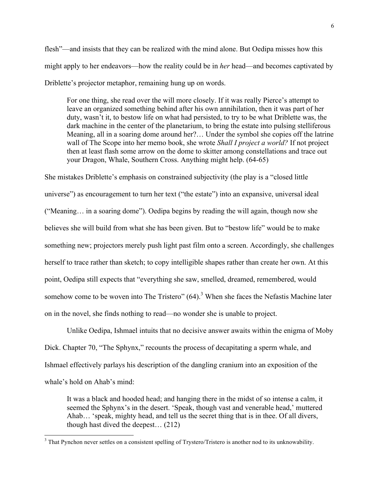flesh"—and insists that they can be realized with the mind alone. But Oedipa misses how this might apply to her endeavors—how the reality could be in *her* head—and becomes captivated by Driblette's projector metaphor, remaining hung up on words.

For one thing, she read over the will more closely. If it was really Pierce's attempt to leave an organized something behind after his own annihilation, then it was part of her duty, wasn't it, to bestow life on what had persisted, to try to be what Driblette was, the dark machine in the center of the planetarium, to bring the estate into pulsing stelliferous Meaning, all in a soaring dome around her?… Under the symbol she copies off the latrine wall of The Scope into her memo book, she wrote *Shall I project a world?* If not project then at least flash some arrow on the dome to skitter among constellations and trace out your Dragon, Whale, Southern Cross. Anything might help. (64-65)

She mistakes Driblette's emphasis on constrained subjectivity (the play is a "closed little universe") as encouragement to turn her text ("the estate") into an expansive, universal ideal ("Meaning… in a soaring dome"). Oedipa begins by reading the will again, though now she believes she will build from what she has been given. But to "bestow life" would be to make something new; projectors merely push light past film onto a screen. Accordingly, she challenges herself to trace rather than sketch; to copy intelligible shapes rather than create her own. At this point, Oedipa still expects that "everything she saw, smelled, dreamed, remembered, would somehow come to be woven into The Tristero"  $(64)$ .<sup>3</sup> When she faces the Nefastis Machine later on in the novel, she finds nothing to read—no wonder she is unable to project.

Unlike Oedipa, Ishmael intuits that no decisive answer awaits within the enigma of Moby Dick. Chapter 70, "The Sphynx," recounts the process of decapitating a sperm whale, and Ishmael effectively parlays his description of the dangling cranium into an exposition of the whale's hold on Ahab's mind:

It was a black and hooded head; and hanging there in the midst of so intense a calm, it seemed the Sphynx's in the desert. 'Speak, though vast and venerable head,' muttered Ahab… 'speak, mighty head, and tell us the secret thing that is in thee. Of all divers, though hast dived the deepest… (212)

<sup>&</sup>lt;sup>3</sup> That Pynchon never settles on a consistent spelling of Trystero/Tristero is another nod to its unknowability.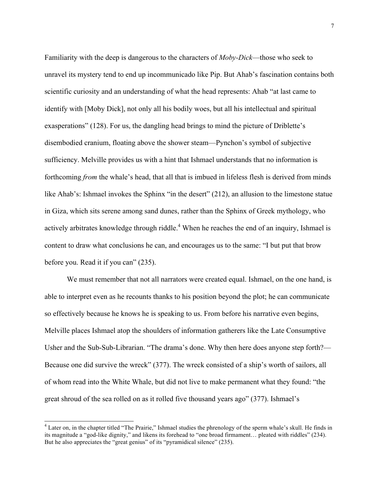Familiarity with the deep is dangerous to the characters of *Moby-Dick*—those who seek to unravel its mystery tend to end up incommunicado like Pip. But Ahab's fascination contains both scientific curiosity and an understanding of what the head represents: Ahab "at last came to identify with [Moby Dick], not only all his bodily woes, but all his intellectual and spiritual exasperations" (128). For us, the dangling head brings to mind the picture of Driblette's disembodied cranium, floating above the shower steam—Pynchon's symbol of subjective sufficiency. Melville provides us with a hint that Ishmael understands that no information is forthcoming *from* the whale's head, that all that is imbued in lifeless flesh is derived from minds like Ahab's: Ishmael invokes the Sphinx "in the desert" (212), an allusion to the limestone statue in Giza, which sits serene among sand dunes, rather than the Sphinx of Greek mythology, who actively arbitrates knowledge through riddle.<sup>4</sup> When he reaches the end of an inquiry, Ishmael is content to draw what conclusions he can, and encourages us to the same: "I but put that brow before you. Read it if you can" (235).

We must remember that not all narrators were created equal. Ishmael, on the one hand, is able to interpret even as he recounts thanks to his position beyond the plot; he can communicate so effectively because he knows he is speaking to us. From before his narrative even begins, Melville places Ishmael atop the shoulders of information gatherers like the Late Consumptive Usher and the Sub-Sub-Librarian. "The drama's done. Why then here does anyone step forth?— Because one did survive the wreck" (377). The wreck consisted of a ship's worth of sailors, all of whom read into the White Whale, but did not live to make permanent what they found: "the great shroud of the sea rolled on as it rolled five thousand years ago" (377). Ishmael's

<sup>&</sup>lt;sup>4</sup> Later on, in the chapter titled "The Prairie," Ishmael studies the phrenology of the sperm whale's skull. He finds in its magnitude a "god-like dignity," and likens its forehead to "one broad firmament… pleated with riddles" (234). But he also appreciates the "great genius" of its "pyramidical silence" (235).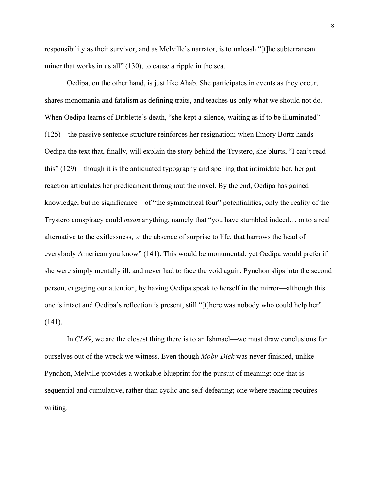responsibility as their survivor, and as Melville's narrator, is to unleash "[t]he subterranean miner that works in us all" (130), to cause a ripple in the sea.

Oedipa, on the other hand, is just like Ahab. She participates in events as they occur, shares monomania and fatalism as defining traits, and teaches us only what we should not do. When Oedipa learns of Driblette's death, "she kept a silence, waiting as if to be illuminated" (125)—the passive sentence structure reinforces her resignation; when Emory Bortz hands Oedipa the text that, finally, will explain the story behind the Trystero, she blurts, "I can't read this" (129)—though it is the antiquated typography and spelling that intimidate her, her gut reaction articulates her predicament throughout the novel. By the end, Oedipa has gained knowledge, but no significance—of "the symmetrical four" potentialities, only the reality of the Trystero conspiracy could *mean* anything, namely that "you have stumbled indeed… onto a real alternative to the exitlessness, to the absence of surprise to life, that harrows the head of everybody American you know" (141). This would be monumental, yet Oedipa would prefer if she were simply mentally ill, and never had to face the void again. Pynchon slips into the second person, engaging our attention, by having Oedipa speak to herself in the mirror—although this one is intact and Oedipa's reflection is present, still "[t]here was nobody who could help her" (141).

In *CL49*, we are the closest thing there is to an Ishmael—we must draw conclusions for ourselves out of the wreck we witness. Even though *Moby-Dick* was never finished, unlike Pynchon, Melville provides a workable blueprint for the pursuit of meaning: one that is sequential and cumulative, rather than cyclic and self-defeating; one where reading requires writing.